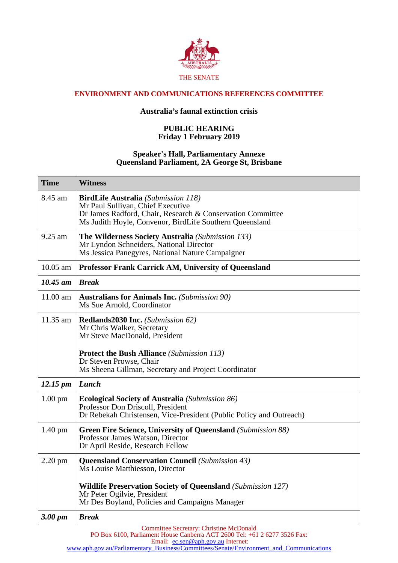

## **ENVIRONMENT AND COMMUNICATIONS REFERENCES COMMITTEE**

## **Australia's faunal extinction crisis**

## **PUBLIC HEARING Friday 1 February 2019**

## **Speaker's Hall, Parliamentary Annexe Queensland Parliament, 2A George St, Brisbane**

| <b>Time</b>          | <b>Witness</b>                                                                                                                                                                                                                           |
|----------------------|------------------------------------------------------------------------------------------------------------------------------------------------------------------------------------------------------------------------------------------|
| 8.45 am              | <b>BirdLife Australia</b> (Submission 118)<br>Mr Paul Sullivan, Chief Executive<br>Dr James Radford, Chair, Research & Conservation Committee<br>Ms Judith Hoyle, Convenor, BirdLife Southern Queensland                                 |
| 9.25 am              | The Wilderness Society Australia (Submission 133)<br>Mr Lyndon Schneiders, National Director<br>Ms Jessica Panegyres, National Nature Campaigner                                                                                         |
| $10.05$ am           | <b>Professor Frank Carrick AM, University of Queensland</b>                                                                                                                                                                              |
| $10.45$ am           | <b>Break</b>                                                                                                                                                                                                                             |
| 11.00 am             | <b>Australians for Animals Inc.</b> (Submission 90)<br>Ms Sue Arnold, Coordinator                                                                                                                                                        |
| $11.35$ am           | Redlands2030 Inc. (Submission 62)<br>Mr Chris Walker, Secretary<br>Mr Steve MacDonald, President<br><b>Protect the Bush Alliance</b> (Submission 113)<br>Dr Steven Prowse, Chair<br>Ms Sheena Gillman, Secretary and Project Coordinator |
| $12.15 \, \text{pm}$ | Lunch                                                                                                                                                                                                                                    |
| $1.00 \text{ pm}$    | Ecological Society of Australia (Submission 86)<br>Professor Don Driscoll, President<br>Dr Rebekah Christensen, Vice-President (Public Policy and Outreach)                                                                              |
| $1.40 \text{ pm}$    | <b>Green Fire Science, University of Queensland</b> (Submission 88)<br>Professor James Watson, Director<br>Dr April Reside, Research Fellow                                                                                              |
| $2.20$ pm            | <b>Queensland Conservation Council</b> (Submission 43)<br>Ms Louise Matthiesson, Director                                                                                                                                                |
|                      | <b>Wildlife Preservation Society of Queensland (Submission 127)</b><br>Mr Peter Ogilvie, President<br>Mr Des Boyland, Policies and Campaigns Manager                                                                                     |
| 3.00 pm              | <b>Break</b>                                                                                                                                                                                                                             |